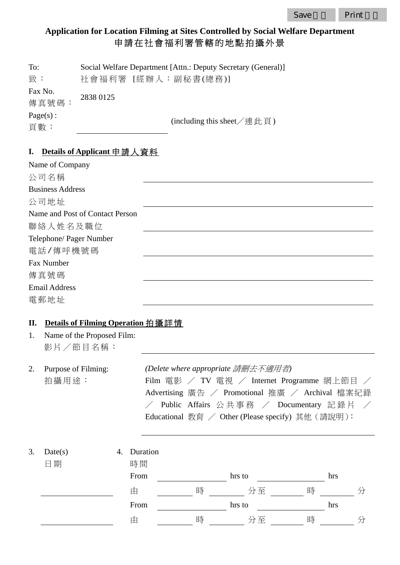| Save | Print |
|------|-------|
|      |       |

# **Application for Location Filming at Sites Controlled by Social Welfare Department**  申請在社會福利署管轄的地點拍攝外景

| To:                | Social Welfare Department [Attn.: Deputy Secretary (General)] |  |
|--------------------|---------------------------------------------------------------|--|
| 致:                 | 社會福利署 [經辦人:副秘書(總務)]                                           |  |
| Fax No.<br>傳真號碼:   | 2838 0125                                                     |  |
| $Page(s)$ :<br>頁數: | (including this sheet $\angle \nsubseteq$ 此頁)                 |  |

### **I. Details of Applicant** 申請人資料

|    | Name of Company                        |    |          |   |                                                   |   |     |   |
|----|----------------------------------------|----|----------|---|---------------------------------------------------|---|-----|---|
|    | 公司名稱                                   |    |          |   |                                                   |   |     |   |
|    | <b>Business Address</b>                |    |          |   |                                                   |   |     |   |
|    | 公司地址                                   |    |          |   |                                                   |   |     |   |
|    | Name and Post of Contact Person        |    |          |   |                                                   |   |     |   |
|    | 聯絡人姓名及職位                               |    |          |   |                                                   |   |     |   |
|    | Telephone/ Pager Number                |    |          |   |                                                   |   |     |   |
|    | 電話/傳呼機號碼                               |    |          |   |                                                   |   |     |   |
|    | Fax Number                             |    |          |   |                                                   |   |     |   |
|    | 傳真號碼                                   |    |          |   |                                                   |   |     |   |
|    | <b>Email Address</b>                   |    |          |   |                                                   |   |     |   |
|    | 電郵地址                                   |    |          |   |                                                   |   |     |   |
|    |                                        |    |          |   |                                                   |   |     |   |
| П. | Details of Filming Operation 拍攝詳情      |    |          |   |                                                   |   |     |   |
| 1. | Name of the Proposed Film:<br>影片/節目名稱: |    |          |   |                                                   |   |     |   |
| 2. | Purpose of Filming:                    |    |          |   | (Delete where appropriate 請删去不適用者)                |   |     |   |
|    | 拍攝用途:                                  |    |          |   | Film 電影 / TV 電視 / Internet Programme 網上節目 /       |   |     |   |
|    |                                        |    |          |   | Advertising 廣告 / Promotional 推廣 / Archival 檔案紀錄   |   |     |   |
|    |                                        |    |          |   | Public Affairs 公共事務 / Documentary 記錄片             |   |     |   |
|    |                                        |    |          |   | Educational 教育 / Other (Please specify) 其他 (請說明): |   |     |   |
|    |                                        |    |          |   |                                                   |   |     |   |
|    |                                        |    |          |   |                                                   |   |     |   |
| 3. | Date(s)                                | 4. | Duration |   |                                                   |   |     |   |
|    | 日期                                     |    | 時間       |   |                                                   |   |     |   |
|    |                                        |    | From     |   | $\frac{1}{2}$ hrs to $\frac{1}{2}$                |   | hrs |   |
|    |                                        |    | 由        | 時 | 分至                                                | 時 |     | 分 |
|    |                                        |    | From     |   | hrs to                                            |   | hrs |   |
|    |                                        |    | 由        | 時 | 分至                                                | 時 |     | 分 |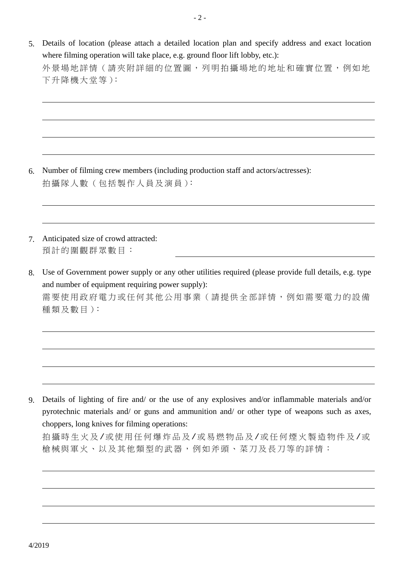5. Details of location (please attach a detailed location plan and specify address and exact location where filming operation will take place, e.g. ground floor lift lobby, etc.): 外景場地詳情(請夾附詳細的位置圖,列明拍攝場地的地址和確實位置,例如地 下升降機大堂等):

6. Number of filming crew members (including production staff and actors/actresses): 拍攝隊人數(包括製作人員及演員):

- 7. Anticipated size of crowd attracted: 預計的圍觀群眾數目:
- 8. Use of Government power supply or any other utilities required (please provide full details, e.g. type and number of equipment requiring power supply): 需要使用政府電力或任何其他公用事業( 請提供全部詳情,例如需要電力的設備 種類及數目):

9. Details of lighting of fire and/ or the use of any explosives and/or inflammable materials and/or pyrotechnic materials and/ or guns and ammunition and/ or other type of weapons such as axes, choppers, long knives for filming operations: 拍攝時生火及 /或使用任何爆炸品及 /或易燃物品及 /或任何煙火製造物件及 /或 槍械與軍火、以及其他類型的武器,例 如斧頭、菜刀及長刀等的詳情: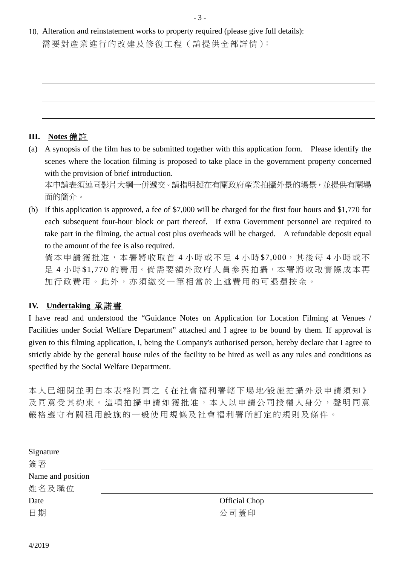10. Alteration and reinstatement works to property required (please give full details):

需要對產業進行的改建及修復工程(請提供全部詳情):

#### **III. Notes** 備 註

(a) A synopsis of the film has to be submitted together with this application form. Please identify the scenes where the location filming is proposed to take place in the government property concerned with the provision of brief introduction.

本申請表須連同影片大綱一併遞交。請指明擬在有關政府產業拍攝外景的場景,並提供有關場 面的簡介。

(b) If this application is approved, a fee of \$7,000 will be charged for the first four hours and \$1,770 for each subsequent four-hour block or part thereof. If extra Government personnel are required to take part in the filming, the actual cost plus overheads will be charged. A refundable deposit equal to the amount of the fee is also required.

倘本申請獲批准,本署將收取首 4 小時或不足 4 小時\$7,000,其後每 4 小時或不 足 4 小 時\$1,770 的費用。倘需要額外政府人員參與拍攝,本署將收取實際成本再 加行政費用。此外,亦須繳交 一筆相當於上述費用的可退還按金。

#### **IV. Undertaking** 承諾書

I have read and understood the "Guidance Notes on Application for Location Filming at Venues / Facilities under Social Welfare Department" attached and I agree to be bound by them. If approval is given to this filming application, I, being the Company's authorised person, hereby declare that I agree to strictly abide by the general house rules of the facility to be hired as well as any rules and conditions as specified by the Social Welfare Department.

本人已細閱並明白本表格附頁之《在社會福利署轄下場地/設施拍攝外景申請須知》 及同意受其約束。這項拍攝申請如獲批 准,本人以申請公司授權人身分,聲明同意 嚴格遵守有關租用設施的一般使用規條 及社會福利署所訂定的規則及條件。

| Signature         |                      |
|-------------------|----------------------|
| 簽署                |                      |
| Name and position |                      |
| 姓名及職位             |                      |
| Date              | <b>Official Chop</b> |
| 日期                | 公司蓋印                 |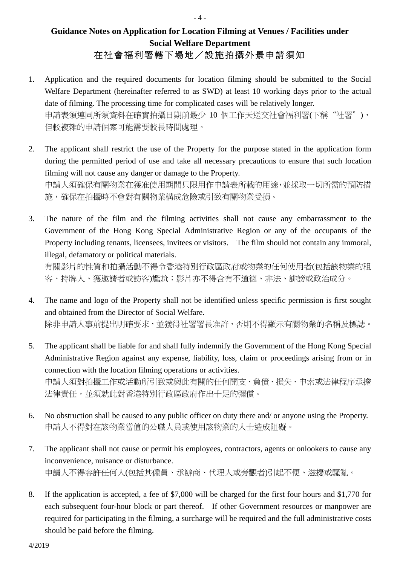## **Guidance Notes on Application for Location Filming at Venues / Facilities under Social Welfare Department**  在社會福利署轄下場地/設施拍攝外景申請須知

- 1. Application and the required documents for location filming should be submitted to the Social Welfare Department (hereinafter referred to as SWD) at least 10 working days prior to the actual date of filming. The processing time for complicated cases will be relatively longer. 申請表須連同所須資料在確實拍攝日期前最少 10 個工作天送交社會福利署(下稱"社署"), 但較複雜的申請個案可能需要較長時間處理。
- 2. The applicant shall restrict the use of the Property for the purpose stated in the application form during the permitted period of use and take all necessary precautions to ensure that such location filming will not cause any danger or damage to the Property. 申請人須確保有關物業在獲准使用期間只限用作申請表所載的用途,並採取一切所需的預防措 施,確保在拍攝時不會對有關物業構成危險或引致有關物業受損。
- 3. The nature of the film and the filming activities shall not cause any embarrassment to the Government of the Hong Kong Special Administrative Region or any of the occupants of the Property including tenants, licensees, invitees or visitors. The film should not contain any immoral, illegal, defamatory or political materials.

有關影片的性質和拍攝活動不得令香港特別行政區政府或物業的任何使用者(包括該物業的租 客、持牌人、獲邀請者或訪客)尷尬;影片亦不得含有不道德、非法、誹謗或政治成分。

- 4. The name and logo of the Property shall not be identified unless specific permission is first sought and obtained from the Director of Social Welfare. 除非申請人事前提出明確要求,並獲得社署署長准許,否則不得顯示有關物業的名稱及標誌。
- 5. The applicant shall be liable for and shall fully indemnify the Government of the Hong Kong Special Administrative Region against any expense, liability, loss, claim or proceedings arising from or in connection with the location filming operations or activities. 申請人須對拍攝工作或活動所引致或與此有關的任何開支、負債、損失、申索或法律程序承擔 法律責任,並須就此對香港特別行政區政府作出十足的彌償。
- 6. No obstruction shall be caused to any public officer on duty there and/ or anyone using the Property. 申請人不得對在該物業當值的公職人員或使用該物業的人士造成阻礙。
- 7. The applicant shall not cause or permit his employees, contractors, agents or onlookers to cause any inconvenience, nuisance or disturbance. 申請人不得容許任何人(包括其僱員、承辦商、代理人或旁觀者)引起不便、滋擾或騷亂。
- 8. If the application is accepted, a fee of \$7,000 will be charged for the first four hours and \$1,770 for each subsequent four-hour block or part thereof. If other Government resources or manpower are required for participating in the filming, a surcharge will be required and the full administrative costs should be paid before the filming.